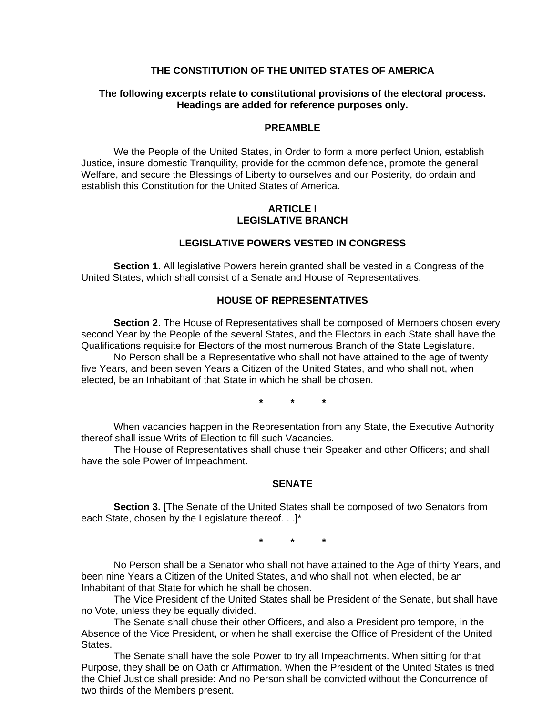### **THE CONSTITUTION OF THE UNITED STATES OF AMERICA**

#### **The following excerpts relate to constitutional provisions of the electoral process. Headings are added for reference purposes only.**

#### **PREAMBLE**

We the People of the United States, in Order to form a more perfect Union, establish Justice, insure domestic Tranquility, provide for the common defence, promote the general Welfare, and secure the Blessings of Liberty to ourselves and our Posterity, do ordain and establish this Constitution for the United States of America.

#### **ARTICLE I LEGISLATIVE BRANCH**

#### **LEGISLATIVE POWERS VESTED IN CONGRESS**

**Section 1**. All legislative Powers herein granted shall be vested in a Congress of the United States, which shall consist of a Senate and House of Representatives.

# **HOUSE OF REPRESENTATIVES**

**Section 2**. The House of Representatives shall be composed of Members chosen every second Year by the People of the several States, and the Electors in each State shall have the Qualifications requisite for Electors of the most numerous Branch of the State Legislature. No Person shall be a Representative who shall not have attained to the age of twenty

five Years, and been seven Years a Citizen of the United States, and who shall not, when elected, be an Inhabitant of that State in which he shall be chosen.

**\* \* \*** 

When vacancies happen in the Representation from any State, the Executive Authority thereof shall issue Writs of Election to fill such Vacancies.

The House of Representatives shall chuse their Speaker and other Officers; and shall have the sole Power of Impeachment.

#### **SENATE**

**Section 3.** [The Senate of the United States shall be composed of two Senators from each State, chosen by the Legislature thereof. . .]\*

**\* \* \*** 

No Person shall be a Senator who shall not have attained to the Age of thirty Years, and been nine Years a Citizen of the United States, and who shall not, when elected, be an Inhabitant of that State for which he shall be chosen.

The Vice President of the United States shall be President of the Senate, but shall have no Vote, unless they be equally divided.

The Senate shall chuse their other Officers, and also a President pro tempore, in the Absence of the Vice President, or when he shall exercise the Office of President of the United States.

The Senate shall have the sole Power to try all Impeachments. When sitting for that Purpose, they shall be on Oath or Affirmation. When the President of the United States is tried the Chief Justice shall preside: And no Person shall be convicted without the Concurrence of two thirds of the Members present.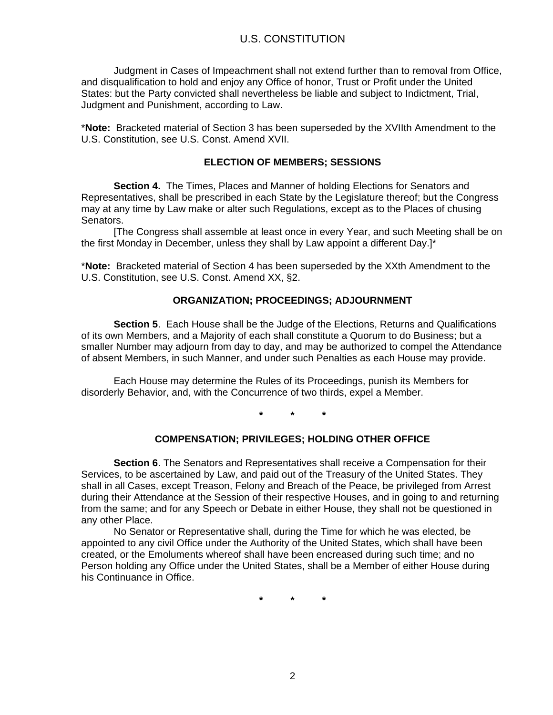Judgment in Cases of Impeachment shall not extend further than to removal from Office, and disqualification to hold and enjoy any Office of honor, Trust or Profit under the United States: but the Party convicted shall nevertheless be liable and subject to Indictment, Trial, Judgment and Punishment, according to Law.

\***Note:** Bracketed material of Section 3 has been superseded by the XVIIth Amendment to the U.S. Constitution, see U.S. Const. Amend XVII.

#### **ELECTION OF MEMBERS; SESSIONS**

**Section 4.** The Times, Places and Manner of holding Elections for Senators and Representatives, shall be prescribed in each State by the Legislature thereof; but the Congress may at any time by Law make or alter such Regulations, except as to the Places of chusing Senators.

[The Congress shall assemble at least once in every Year, and such Meeting shall be on the first Monday in December, unless they shall by Law appoint a different Day.]\*

\***Note:** Bracketed material of Section 4 has been superseded by the XXth Amendment to the U.S. Constitution, see U.S. Const. Amend XX, §2.

### **ORGANIZATION; PROCEEDINGS; ADJOURNMENT**

**Section 5**. Each House shall be the Judge of the Elections, Returns and Qualifications of its own Members, and a Majority of each shall constitute a Quorum to do Business; but a smaller Number may adjourn from day to day, and may be authorized to compel the Attendance of absent Members, in such Manner, and under such Penalties as each House may provide.

Each House may determine the Rules of its Proceedings, punish its Members for disorderly Behavior, and, with the Concurrence of two thirds, expel a Member.

**\* \* \*** 

# **COMPENSATION; PRIVILEGES; HOLDING OTHER OFFICE**

**Section 6**. The Senators and Representatives shall receive a Compensation for their Services, to be ascertained by Law, and paid out of the Treasury of the United States. They shall in all Cases, except Treason, Felony and Breach of the Peace, be privileged from Arrest during their Attendance at the Session of their respective Houses, and in going to and returning from the same; and for any Speech or Debate in either House, they shall not be questioned in any other Place.

No Senator or Representative shall, during the Time for which he was elected, be appointed to any civil Office under the Authority of the United States, which shall have been created, or the Emoluments whereof shall have been encreased during such time; and no Person holding any Office under the United States, shall be a Member of either House during his Continuance in Office.

**\* \* \***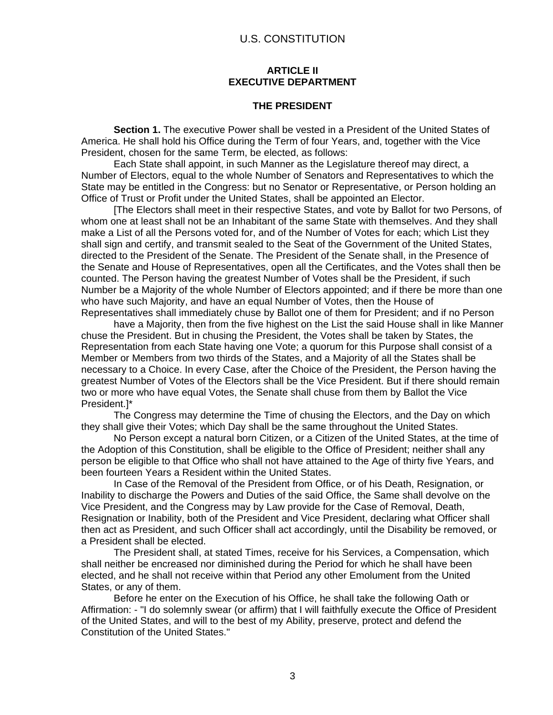#### **ARTICLE II EXECUTIVE DEPARTMENT**

#### **THE PRESIDENT**

**Section 1.** The executive Power shall be vested in a President of the United States of America. He shall hold his Office during the Term of four Years, and, together with the Vice President, chosen for the same Term, be elected, as follows:

Each State shall appoint, in such Manner as the Legislature thereof may direct, a Number of Electors, equal to the whole Number of Senators and Representatives to which the State may be entitled in the Congress: but no Senator or Representative, or Person holding an Office of Trust or Profit under the United States, shall be appointed an Elector.

[The Electors shall meet in their respective States, and vote by Ballot for two Persons, of whom one at least shall not be an Inhabitant of the same State with themselves. And they shall make a List of all the Persons voted for, and of the Number of Votes for each; which List they shall sign and certify, and transmit sealed to the Seat of the Government of the United States, directed to the President of the Senate. The President of the Senate shall, in the Presence of the Senate and House of Representatives, open all the Certificates, and the Votes shall then be counted. The Person having the greatest Number of Votes shall be the President, if such Number be a Majority of the whole Number of Electors appointed; and if there be more than one who have such Majority, and have an equal Number of Votes, then the House of Representatives shall immediately chuse by Ballot one of them for President; and if no Person

have a Majority, then from the five highest on the List the said House shall in like Manner chuse the President. But in chusing the President, the Votes shall be taken by States, the Representation from each State having one Vote; a quorum for this Purpose shall consist of a Member or Members from two thirds of the States, and a Majority of all the States shall be necessary to a Choice. In every Case, after the Choice of the President, the Person having the greatest Number of Votes of the Electors shall be the Vice President. But if there should remain two or more who have equal Votes, the Senate shall chuse from them by Ballot the Vice President.]\*

The Congress may determine the Time of chusing the Electors, and the Day on which they shall give their Votes; which Day shall be the same throughout the United States.

No Person except a natural born Citizen, or a Citizen of the United States, at the time of the Adoption of this Constitution, shall be eligible to the Office of President; neither shall any person be eligible to that Office who shall not have attained to the Age of thirty five Years, and been fourteen Years a Resident within the United States.

In Case of the Removal of the President from Office, or of his Death, Resignation, or Inability to discharge the Powers and Duties of the said Office, the Same shall devolve on the Vice President, and the Congress may by Law provide for the Case of Removal, Death, Resignation or Inability, both of the President and Vice President, declaring what Officer shall then act as President, and such Officer shall act accordingly, until the Disability be removed, or a President shall be elected.

The President shall, at stated Times, receive for his Services, a Compensation, which shall neither be encreased nor diminished during the Period for which he shall have been elected, and he shall not receive within that Period any other Emolument from the United States, or any of them.

Before he enter on the Execution of his Office, he shall take the following Oath or Affirmation: - "I do solemnly swear (or affirm) that I will faithfully execute the Office of President of the United States, and will to the best of my Ability, preserve, protect and defend the Constitution of the United States."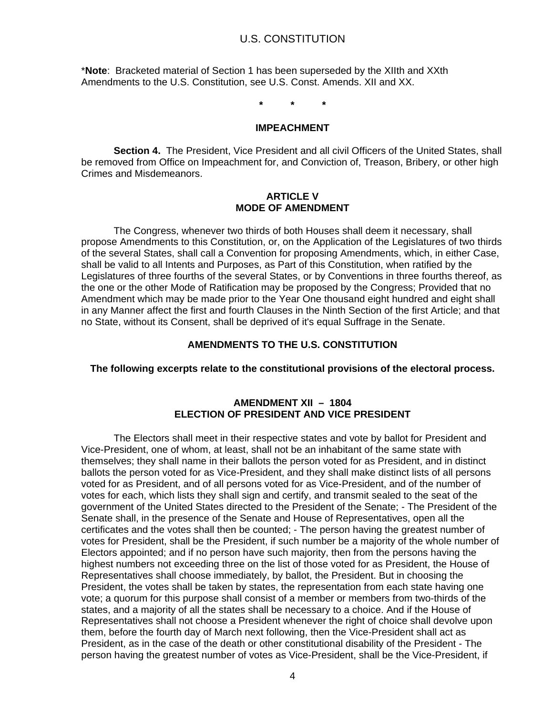\***Note**: Bracketed material of Section 1 has been superseded by the XIIth and XXth Amendments to the U.S. Constitution, see U.S. Const. Amends. XII and XX.

**\* \* \*** 

#### **IMPEACHMENT**

**Section 4.** The President, Vice President and all civil Officers of the United States, shall be removed from Office on Impeachment for, and Conviction of, Treason, Bribery, or other high Crimes and Misdemeanors.

#### **ARTICLE V MODE OF AMENDMENT**

The Congress, whenever two thirds of both Houses shall deem it necessary, shall propose Amendments to this Constitution, or, on the Application of the Legislatures of two thirds of the several States, shall call a Convention for proposing Amendments, which, in either Case, shall be valid to all Intents and Purposes, as Part of this Constitution, when ratified by the Legislatures of three fourths of the several States, or by Conventions in three fourths thereof, as the one or the other Mode of Ratification may be proposed by the Congress; Provided that no Amendment which may be made prior to the Year One thousand eight hundred and eight shall in any Manner affect the first and fourth Clauses in the Ninth Section of the first Article; and that no State, without its Consent, shall be deprived of it's equal Suffrage in the Senate.

### **AMENDMENTS TO THE U.S. CONSTITUTION**

#### **The following excerpts relate to the constitutional provisions of the electoral process.**

### **AMENDMENT XII – 1804 ELECTION OF PRESIDENT AND VICE PRESIDENT**

The Electors shall meet in their respective states and vote by ballot for President and Vice-President, one of whom, at least, shall not be an inhabitant of the same state with themselves; they shall name in their ballots the person voted for as President, and in distinct ballots the person voted for as Vice-President, and they shall make distinct lists of all persons voted for as President, and of all persons voted for as Vice-President, and of the number of votes for each, which lists they shall sign and certify, and transmit sealed to the seat of the government of the United States directed to the President of the Senate; - The President of the Senate shall, in the presence of the Senate and House of Representatives, open all the certificates and the votes shall then be counted; - The person having the greatest number of votes for President, shall be the President, if such number be a majority of the whole number of Electors appointed; and if no person have such majority, then from the persons having the highest numbers not exceeding three on the list of those voted for as President, the House of Representatives shall choose immediately, by ballot, the President. But in choosing the President, the votes shall be taken by states, the representation from each state having one vote; a quorum for this purpose shall consist of a member or members from two-thirds of the states, and a majority of all the states shall be necessary to a choice. And if the House of Representatives shall not choose a President whenever the right of choice shall devolve upon them, before the fourth day of March next following, then the Vice-President shall act as President, as in the case of the death or other constitutional disability of the President - The person having the greatest number of votes as Vice-President, shall be the Vice-President, if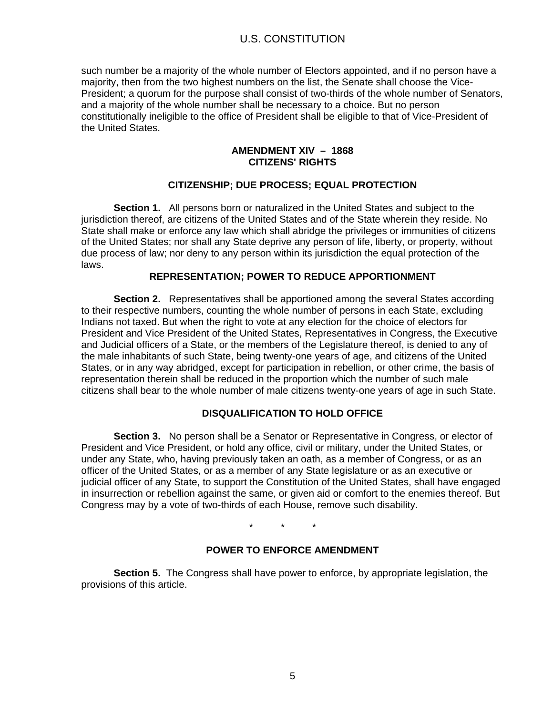# U.S. CONSTITUTION

such number be a majority of the whole number of Electors appointed, and if no person have a majority, then from the two highest numbers on the list, the Senate shall choose the Vice-President; a quorum for the purpose shall consist of two-thirds of the whole number of Senators, and a majority of the whole number shall be necessary to a choice. But no person constitutionally ineligible to the office of President shall be eligible to that of Vice-President of the United States.

### **AMENDMENT XIV – 1868 CITIZENS' RIGHTS**

# **CITIZENSHIP; DUE PROCESS; EQUAL PROTECTION**

**Section 1.** All persons born or naturalized in the United States and subject to the jurisdiction thereof, are citizens of the United States and of the State wherein they reside. No State shall make or enforce any law which shall abridge the privileges or immunities of citizens of the United States; nor shall any State deprive any person of life, liberty, or property, without due process of law; nor deny to any person within its jurisdiction the equal protection of the laws.

# **REPRESENTATION; POWER TO REDUCE APPORTIONMENT**

**Section 2.** Representatives shall be apportioned among the several States according to their respective numbers, counting the whole number of persons in each State, excluding Indians not taxed. But when the right to vote at any election for the choice of electors for President and Vice President of the United States, Representatives in Congress, the Executive and Judicial officers of a State, or the members of the Legislature thereof, is denied to any of the male inhabitants of such State, being twenty-one years of age, and citizens of the United States, or in any way abridged, except for participation in rebellion, or other crime, the basis of representation therein shall be reduced in the proportion which the number of such male citizens shall bear to the whole number of male citizens twenty-one years of age in such State.

# **DISQUALIFICATION TO HOLD OFFICE**

**Section 3.** No person shall be a Senator or Representative in Congress, or elector of President and Vice President, or hold any office, civil or military, under the United States, or under any State, who, having previously taken an oath, as a member of Congress, or as an officer of the United States, or as a member of any State legislature or as an executive or judicial officer of any State, to support the Constitution of the United States, shall have engaged in insurrection or rebellion against the same, or given aid or comfort to the enemies thereof. But Congress may by a vote of two-thirds of each House, remove such disability.

 $\star$   $\star$ 

# **POWER TO ENFORCE AMENDMENT**

**Section 5.** The Congress shall have power to enforce, by appropriate legislation, the provisions of this article.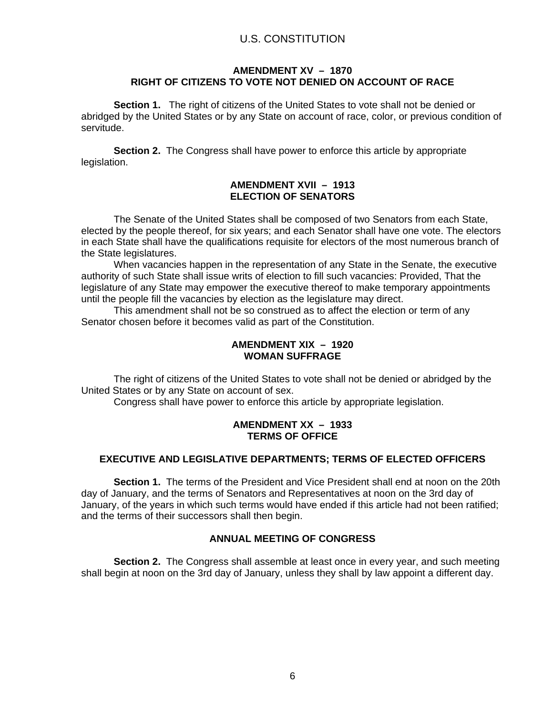# U.S. CONSTITUTION

### **AMENDMENT XV – 1870 RIGHT OF CITIZENS TO VOTE NOT DENIED ON ACCOUNT OF RACE**

 **Section 1.** The right of citizens of the United States to vote shall not be denied or abridged by the United States or by any State on account of race, color, or previous condition of servitude.

**Section 2.** The Congress shall have power to enforce this article by appropriate legislation.

### **AMENDMENT XVII – 1913 ELECTION OF SENATORS**

The Senate of the United States shall be composed of two Senators from each State, elected by the people thereof, for six years; and each Senator shall have one vote. The electors in each State shall have the qualifications requisite for electors of the most numerous branch of the State legislatures.

When vacancies happen in the representation of any State in the Senate, the executive authority of such State shall issue writs of election to fill such vacancies: Provided, That the legislature of any State may empower the executive thereof to make temporary appointments until the people fill the vacancies by election as the legislature may direct.

This amendment shall not be so construed as to affect the election or term of any Senator chosen before it becomes valid as part of the Constitution.

### **AMENDMENT XIX – 1920 WOMAN SUFFRAGE**

The right of citizens of the United States to vote shall not be denied or abridged by the United States or by any State on account of sex.

Congress shall have power to enforce this article by appropriate legislation.

# **AMENDMENT XX – 1933 TERMS OF OFFICE**

# **EXECUTIVE AND LEGISLATIVE DEPARTMENTS; TERMS OF ELECTED OFFICERS**

**Section 1.** The terms of the President and Vice President shall end at noon on the 20th day of January, and the terms of Senators and Representatives at noon on the 3rd day of January, of the years in which such terms would have ended if this article had not been ratified; and the terms of their successors shall then begin.

# **ANNUAL MEETING OF CONGRESS**

**Section 2.** The Congress shall assemble at least once in every year, and such meeting shall begin at noon on the 3rd day of January, unless they shall by law appoint a different day.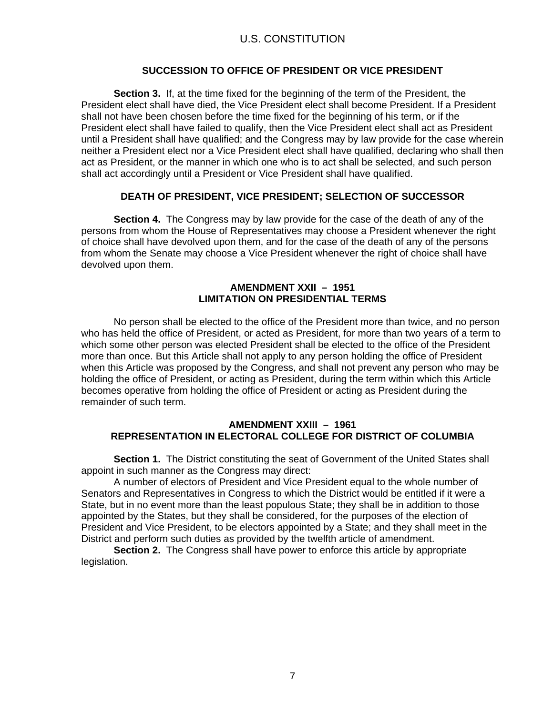# **SUCCESSION TO OFFICE OF PRESIDENT OR VICE PRESIDENT**

**Section 3.** If, at the time fixed for the beginning of the term of the President, the President elect shall have died, the Vice President elect shall become President. If a President shall not have been chosen before the time fixed for the beginning of his term, or if the President elect shall have failed to qualify, then the Vice President elect shall act as President until a President shall have qualified; and the Congress may by law provide for the case wherein neither a President elect nor a Vice President elect shall have qualified, declaring who shall then act as President, or the manner in which one who is to act shall be selected, and such person shall act accordingly until a President or Vice President shall have qualified.

# **DEATH OF PRESIDENT, VICE PRESIDENT; SELECTION OF SUCCESSOR**

**Section 4.** The Congress may by law provide for the case of the death of any of the persons from whom the House of Representatives may choose a President whenever the right of choice shall have devolved upon them, and for the case of the death of any of the persons from whom the Senate may choose a Vice President whenever the right of choice shall have devolved upon them.

### **AMENDMENT XXII – 1951 LIMITATION ON PRESIDENTIAL TERMS**

No person shall be elected to the office of the President more than twice, and no person who has held the office of President, or acted as President, for more than two years of a term to which some other person was elected President shall be elected to the office of the President more than once. But this Article shall not apply to any person holding the office of President when this Article was proposed by the Congress, and shall not prevent any person who may be holding the office of President, or acting as President, during the term within which this Article becomes operative from holding the office of President or acting as President during the remainder of such term.

# **AMENDMENT XXIII – 1961 REPRESENTATION IN ELECTORAL COLLEGE FOR DISTRICT OF COLUMBIA**

**Section 1.** The District constituting the seat of Government of the United States shall appoint in such manner as the Congress may direct:

A number of electors of President and Vice President equal to the whole number of Senators and Representatives in Congress to which the District would be entitled if it were a State, but in no event more than the least populous State; they shall be in addition to those appointed by the States, but they shall be considered, for the purposes of the election of President and Vice President, to be electors appointed by a State; and they shall meet in the District and perform such duties as provided by the twelfth article of amendment.

**Section 2.** The Congress shall have power to enforce this article by appropriate legislation.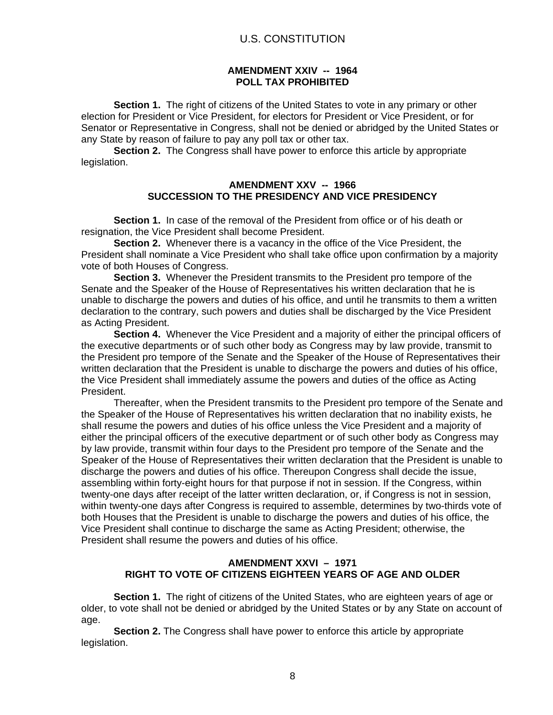### **AMENDMENT XXIV -- 1964 POLL TAX PROHIBITED**

**Section 1.** The right of citizens of the United States to vote in any primary or other election for President or Vice President, for electors for President or Vice President, or for Senator or Representative in Congress, shall not be denied or abridged by the United States or any State by reason of failure to pay any poll tax or other tax.

**Section 2.** The Congress shall have power to enforce this article by appropriate legislation.

### **AMENDMENT XXV -- 1966 SUCCESSION TO THE PRESIDENCY AND VICE PRESIDENCY**

**Section 1.** In case of the removal of the President from office or of his death or resignation, the Vice President shall become President.

**Section 2.** Whenever there is a vacancy in the office of the Vice President, the President shall nominate a Vice President who shall take office upon confirmation by a majority vote of both Houses of Congress.

**Section 3.** Whenever the President transmits to the President pro tempore of the Senate and the Speaker of the House of Representatives his written declaration that he is unable to discharge the powers and duties of his office, and until he transmits to them a written declaration to the contrary, such powers and duties shall be discharged by the Vice President as Acting President.

**Section 4.** Whenever the Vice President and a majority of either the principal officers of the executive departments or of such other body as Congress may by law provide, transmit to the President pro tempore of the Senate and the Speaker of the House of Representatives their written declaration that the President is unable to discharge the powers and duties of his office, the Vice President shall immediately assume the powers and duties of the office as Acting President.

Thereafter, when the President transmits to the President pro tempore of the Senate and the Speaker of the House of Representatives his written declaration that no inability exists, he shall resume the powers and duties of his office unless the Vice President and a majority of either the principal officers of the executive department or of such other body as Congress may by law provide, transmit within four days to the President pro tempore of the Senate and the Speaker of the House of Representatives their written declaration that the President is unable to discharge the powers and duties of his office. Thereupon Congress shall decide the issue, assembling within forty-eight hours for that purpose if not in session. If the Congress, within twenty-one days after receipt of the latter written declaration, or, if Congress is not in session, within twenty-one days after Congress is required to assemble, determines by two-thirds vote of both Houses that the President is unable to discharge the powers and duties of his office, the Vice President shall continue to discharge the same as Acting President; otherwise, the President shall resume the powers and duties of his office.

# **AMENDMENT XXVI – 1971 RIGHT TO VOTE OF CITIZENS EIGHTEEN YEARS OF AGE AND OLDER**

**Section 1.** The right of citizens of the United States, who are eighteen years of age or older, to vote shall not be denied or abridged by the United States or by any State on account of age.

**Section 2.** The Congress shall have power to enforce this article by appropriate legislation.